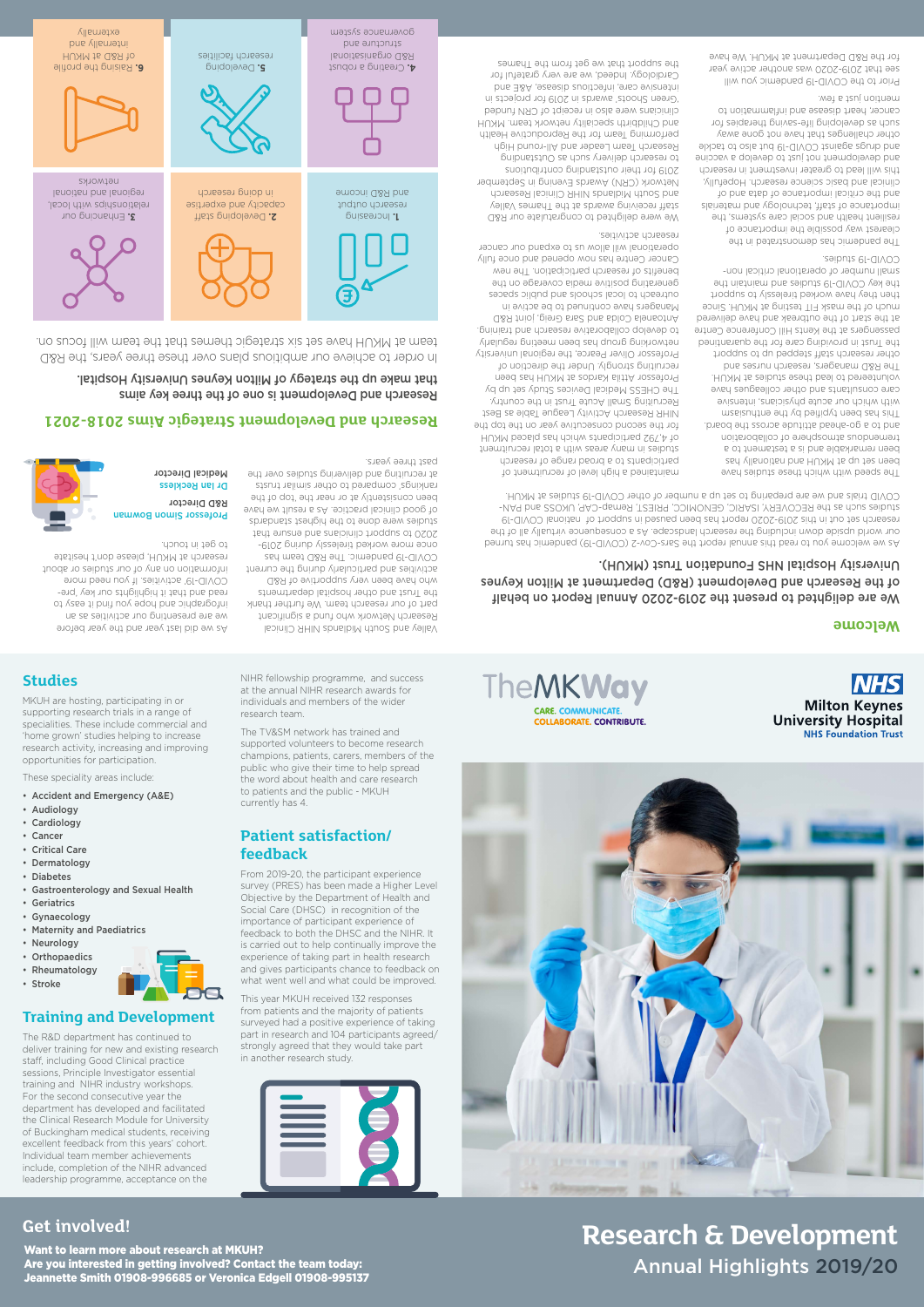**Studies**

MKUH are hosting, participating in or supporting research trials in a range of specialities. These include commercial and 'home grown' studies helping to increase research activity, increasing and improving

opportunities for participation. These speciality areas include: • Accident and Emergency (A&E)

• Audiology • Cardiology • Cancer • Critical Care • Dermatology • Diabetes

• Gastroenterology and Sexual Health

• Geriatrics • Gynaecology

• Maternity and Paediatrics

• Neurology • Orthopaedics • Rheumatology



#### **Training and Development**

The R&D department has continued to deliver training for new and existing research staff, including Good Clinical practice sessions, Principle Investigator essential training and NIHR industry workshops. For the second consecutive year the department has developed and facilitated the Clinical Research Module for University of Buckingham medical students, receiving excellent feedback from this years' cohort. Individual team member achievements include, completion of the NIHR advanced leadership programme, acceptance on the

NIHR fellowship programme, and success at the annual NIHR research awards for individuals and members of the wider

research team.

The TV&SM network has trained and supported volunteers to become research champions, patients, carers, members of the public who give their time to help spread the word about health and care research to patients and the public - MKUH

currently has 4.

**Patient satisfaction/**

**feedback**



From 2019-20, the participant experience

Objective by the Department of Health and Social Care (DHSC) in recognition of the importance of participant experience of feedback to both the DHSC and the NIHR. It is carried out to help continually improve the experience of taking part in health research



TheMKWay **CARE. COMMUNICATE COLLABORATE. CONTRIBUTE.** 

**NHS** 

**Milton Keynes** 

**University Hospital NHS Foundation Trust** 

This year MKUH received 132 responses from patients and the majority of patients surveyed had a positive experience of taking part in research and 104 participants agreed/ strongly agreed that they would take part in another research study.

what went well and what could be improved.

Want to learn more about research at MKUH? Are you interested in getting involved? Contact the team today: Jeannette Smith 01908-996685 or Veronica Edgell 01908-995137

# **Get involved! Research & Development** Annual Highlights 2019/20

Creating a robust **4.**  R&D organisational structure and governance system



Developing **5.**  research facilities

**B.** Raising the profile of R&D at MKUH internally and

externally

Research and Development is one of the three key aims Hospital. University Applies Milton Keynes University Hospital. In order to achieve our ambitious plans over these three years, the R&D team at MKUH have set six strategic themes that the team will focus on. **Research and Development Strategic Aims 2018-2021**

#### We are delighted to present the 2019-2020 Annual Report on behalf of the Research and Development (R&D) Department at Milton Keynes (MKUH). Trust Foundation NHS Hospital University

The speed with which these studies have been set up at MKUH and nationally has been remarkable and is a testament to a tremendous atmosphere of collaboration and to a go-ahead attitude across the board. This has been typified by the entirediations with which our acute physicians, intensive care consultants and other colleagues have volunteered to lead these studies at MKUH. The R&D managers, research nurses and other research staff stepped up to support the Trust in providing care for the quarantined passengers at the Kents Hill Conference Centre at the start of the outbreak and have delivered much of the mask FIT testing at MKUH. Since then they have worked tirelessly to support the key COVID-19 studies and maintain the small number of operational critical non-COVID-19 studies.

The pandemic has demonstrated in the clearest way possible the importance of resilient health and social care systems, the importance of staff, technology and materials and the critical importance of data and of clinical and basic science research. Hopefully, this will lead to greater investment in research and development not just to develop a vaccine and drugs against COVID-19 but also to tackle other challenges that have not gone away such as developing life-saving therapies for cancer, heart disease and inflammation to mention just a few.

Prior to the COVID-19 pandemic you will see that 2019-2020 was another active year for the R&D Department at MKUH. We have

maintained a high level of recruitment of participants to a broad range of research studies in many areas with a total recruitment of 4,792 participants which has placed MKUH for the second consecutive year on the top the NIHR Research Activity League Table as Best Recruiting Small Acute Trust in the country. The CHESS Medical Devices Study set up by Professor Attila Kardos at MKUH has been recruiting strongly. Under the direction of Professor Oliver Pearce, the regional university networking group has been meeting regularly to develop collaborative research and training. Antoanela Colda and Sara Greig, joint R&D Managers have continued to be active in outreach to local schools and public spaces generating positive media coverage on the benefits of research participation. The new Cancer Centre has now opened and once fully operational will allow us to expand our cancer research activities.

We were delighted to congratulate our R&D staff receiving awards at the Thames Valley and South Midlands NIHR Clinical Research Network (CRN) Awards Evening in September 2019 for their outstanding contributions to research delivery such as Outstanding Research Team Leader and All-round High performing Team for the Reproductive Health and Childbirth speciality network team. MKUH clinicians were also in receipt of CRN funded 'Green Shoots' awards in 2019 for projects in intensive care, infectious disease, A&E and Cardiology. Indeed, we are very grateful for the support that we get from the Thames

#### **Welcome**

As we welcome you to read this annual report the Sars-Cov-2 (COVID-19) pandemic has turned our world upside down including the research landscape. As a consequence virtually all of the research set out in this 2019-2020 report has been paused in support of national COVID-19 studies such as the RECOVERY, ISARIC, GENOMICC, PRIEST, Remap-CAP, UKOSS and PAN-COVID trials and we are preparing to set up a number of other COVID-19 studies at MKUH.

Increasing **1.**  research output and R&D income Developing staff **2.**  capacity and expertise in doing research Enhancing our **3.**  relationships with local, regional and national networks



Valley and South Midlands NIHR Clinical Research Network who fund a significant part of our research team. We further thank the Trust and other hospital departments who have been very supportive of R&D activities and particularly during the current COVID-19 pandemic. The R&D team has once more worked tirelessly during 2019- 2020 to support clinicians and ensure that studies were done to the highest standards of good clinical practice. As a result we have been consistently at or near the 'top of the rankings' compared to other similar trusts at recruiting and delivering studies over the

past three years.

As we did last year and the year before we are presenting our activities as an of yas ii bnit uov aqod bns bidgargotni read and that it highlights our key 'pre-COVID-19' activities. If you need more information on any of our studies or about research at MKUH, please don't hesitate

to get in touch.

R&D Director Dr lan Reckless **Medical Director** 

**Brofessor Simon Bowman**